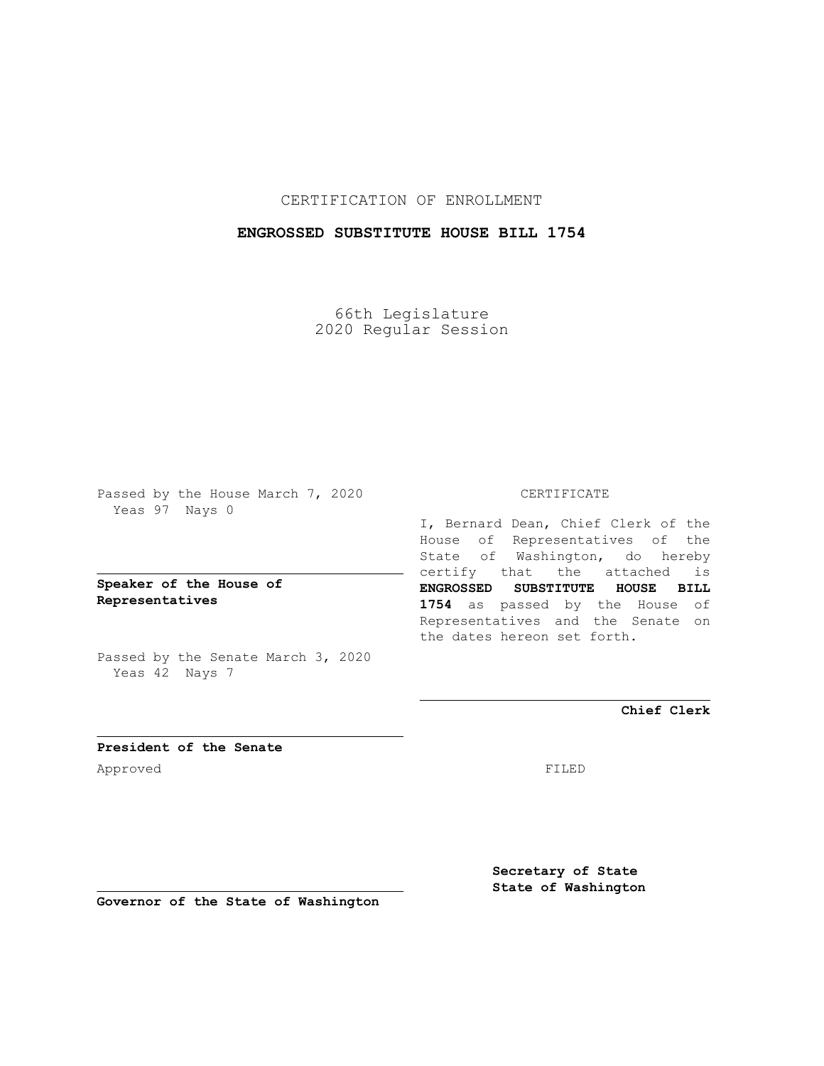CERTIFICATION OF ENROLLMENT

# **ENGROSSED SUBSTITUTE HOUSE BILL 1754**

66th Legislature 2020 Regular Session

Passed by the House March 7, 2020 Yeas 97 Nays 0

## **Speaker of the House of Representatives**

Passed by the Senate March 3, 2020 Yeas 42 Nays 7

### CERTIFICATE

I, Bernard Dean, Chief Clerk of the House of Representatives of the State of Washington, do hereby certify that the attached is **ENGROSSED SUBSTITUTE HOUSE BILL 1754** as passed by the House of Representatives and the Senate on the dates hereon set forth.

**Chief Clerk**

**President of the Senate** Approved FILED

**Secretary of State State of Washington**

**Governor of the State of Washington**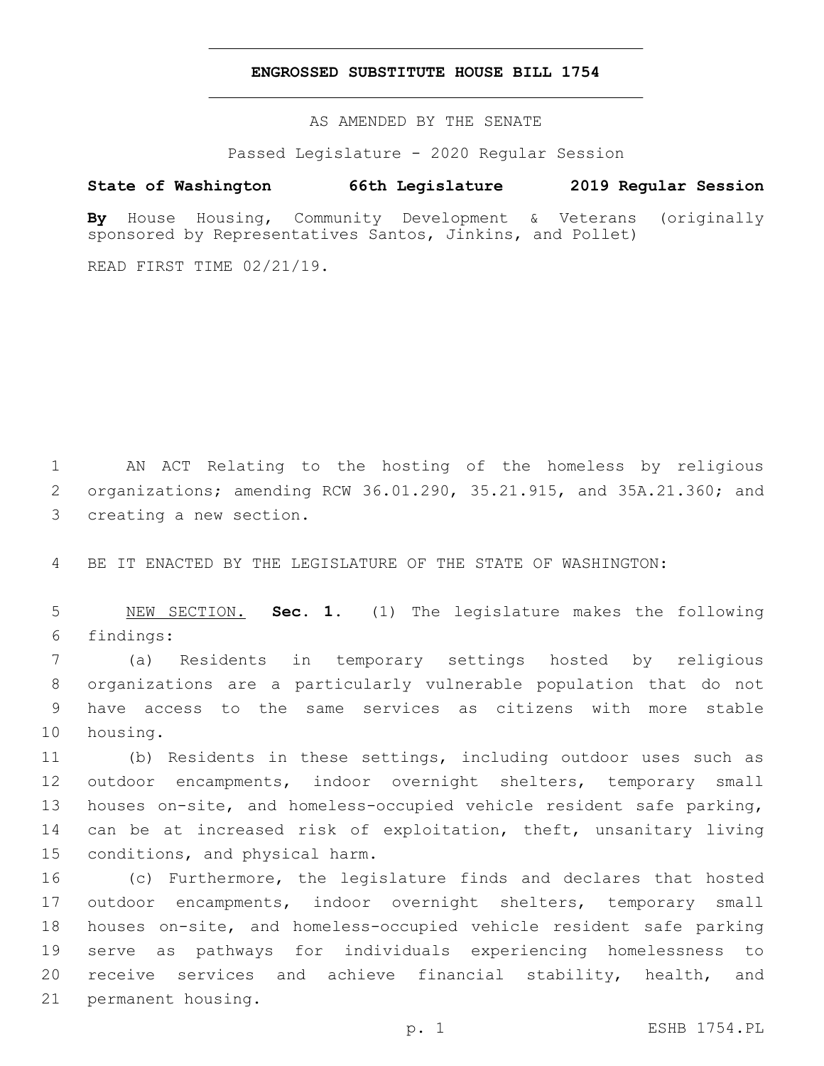#### **ENGROSSED SUBSTITUTE HOUSE BILL 1754**

AS AMENDED BY THE SENATE

Passed Legislature - 2020 Regular Session

# **State of Washington 66th Legislature 2019 Regular Session**

**By** House Housing, Community Development & Veterans (originally sponsored by Representatives Santos, Jinkins, and Pollet)

READ FIRST TIME 02/21/19.

1 AN ACT Relating to the hosting of the homeless by religious 2 organizations; amending RCW 36.01.290, 35.21.915, and 35A.21.360; and 3 creating a new section.

4 BE IT ENACTED BY THE LEGISLATURE OF THE STATE OF WASHINGTON:

5 NEW SECTION. **Sec. 1.** (1) The legislature makes the following 6 findings:

 (a) Residents in temporary settings hosted by religious organizations are a particularly vulnerable population that do not have access to the same services as citizens with more stable 10 housing.

 (b) Residents in these settings, including outdoor uses such as outdoor encampments, indoor overnight shelters, temporary small houses on-site, and homeless-occupied vehicle resident safe parking, can be at increased risk of exploitation, theft, unsanitary living 15 conditions, and physical harm.

 (c) Furthermore, the legislature finds and declares that hosted outdoor encampments, indoor overnight shelters, temporary small houses on-site, and homeless-occupied vehicle resident safe parking serve as pathways for individuals experiencing homelessness to receive services and achieve financial stability, health, and 21 permanent housing.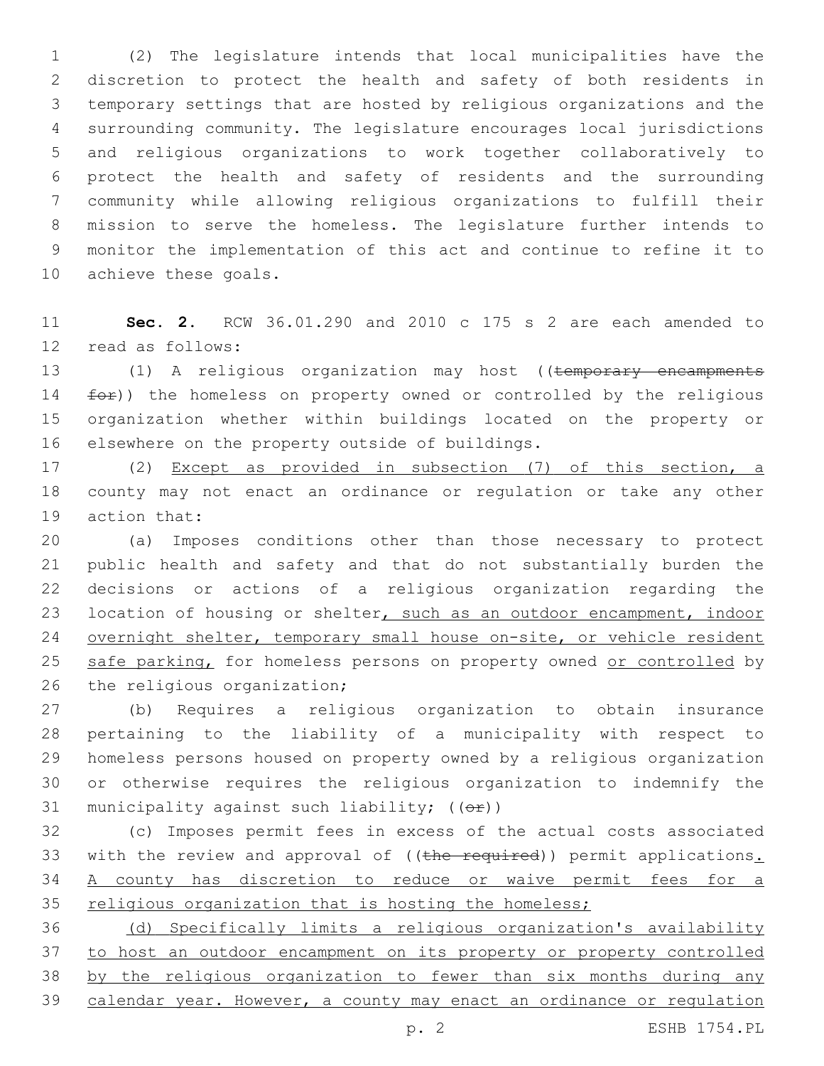(2) The legislature intends that local municipalities have the discretion to protect the health and safety of both residents in temporary settings that are hosted by religious organizations and the surrounding community. The legislature encourages local jurisdictions and religious organizations to work together collaboratively to protect the health and safety of residents and the surrounding community while allowing religious organizations to fulfill their mission to serve the homeless. The legislature further intends to monitor the implementation of this act and continue to refine it to 10 achieve these goals.

 **Sec. 2.** RCW 36.01.290 and 2010 c 175 s 2 are each amended to 12 read as follows:

13 (1) A religious organization may host ((temporary encampments 14 for)) the homeless on property owned or controlled by the religious organization whether within buildings located on the property or 16 elsewhere on the property outside of buildings.

 (2) Except as provided in subsection (7) of this section, a county may not enact an ordinance or regulation or take any other 19 action that:

 (a) Imposes conditions other than those necessary to protect public health and safety and that do not substantially burden the decisions or actions of a religious organization regarding the 23 location of housing or shelter, such as an outdoor encampment, indoor 24 overnight shelter, temporary small house on-site, or vehicle resident 25 safe parking, for homeless persons on property owned or controlled by 26 the religious organization;

 (b) Requires a religious organization to obtain insurance pertaining to the liability of a municipality with respect to homeless persons housed on property owned by a religious organization or otherwise requires the religious organization to indemnify the 31 municipality against such liability;  $((\theta \cdot \hat{r}))$ 

 (c) Imposes permit fees in excess of the actual costs associated 33 with the review and approval of ((the required)) permit applications. A county has discretion to reduce or waive permit fees for a 35 religious organization that is hosting the homeless;

 (d) Specifically limits a religious organization's availability to host an outdoor encampment on its property or property controlled by the religious organization to fewer than six months during any calendar year. However, a county may enact an ordinance or regulation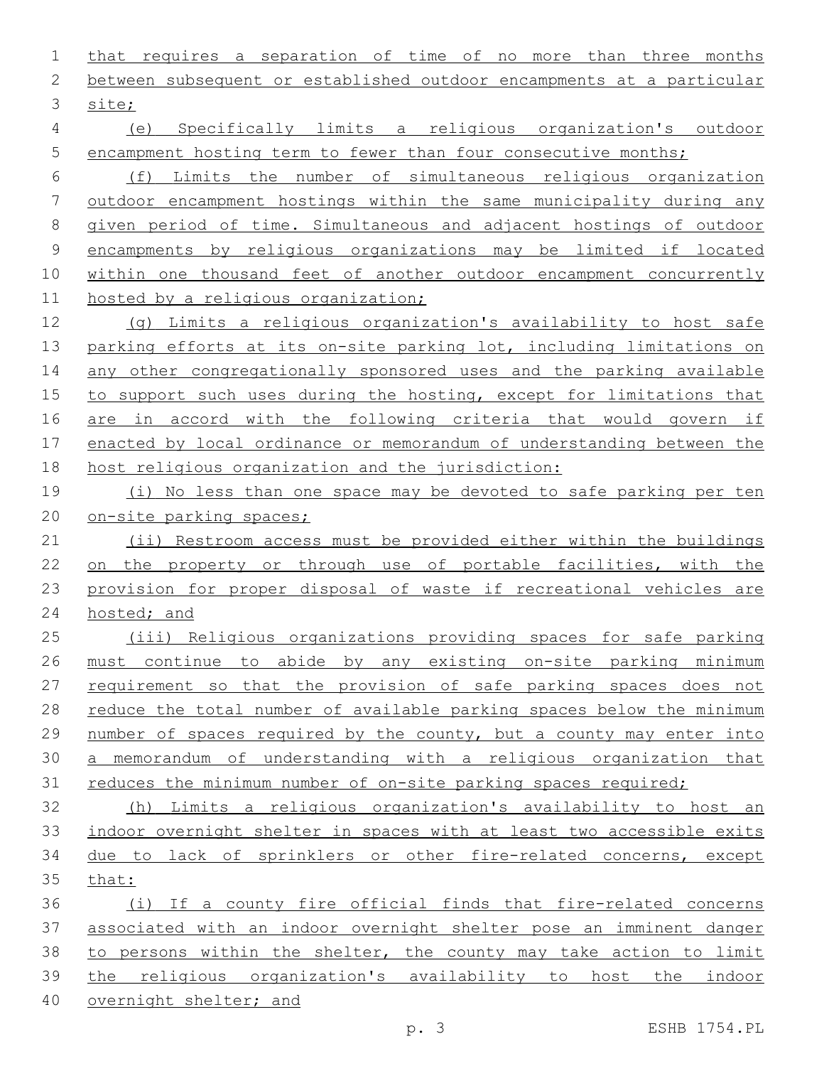that requires a separation of time of no more than three months between subsequent or established outdoor encampments at a particular 3 site;

 (e) Specifically limits a religious organization's outdoor 5 encampment hosting term to fewer than four consecutive months;

 (f) Limits the number of simultaneous religious organization outdoor encampment hostings within the same municipality during any given period of time. Simultaneous and adjacent hostings of outdoor encampments by religious organizations may be limited if located 10 within one thousand feet of another outdoor encampment concurrently hosted by a religious organization;

 (g) Limits a religious organization's availability to host safe 13 parking efforts at its on-site parking lot, including limitations on 14 any other congregationally sponsored uses and the parking available to support such uses during the hosting, except for limitations that are in accord with the following criteria that would govern if enacted by local ordinance or memorandum of understanding between the host religious organization and the jurisdiction:

 (i) No less than one space may be devoted to safe parking per ten on-site parking spaces;

 (ii) Restroom access must be provided either within the buildings on the property or through use of portable facilities, with the provision for proper disposal of waste if recreational vehicles are hosted; and

 (iii) Religious organizations providing spaces for safe parking must continue to abide by any existing on-site parking minimum requirement so that the provision of safe parking spaces does not reduce the total number of available parking spaces below the minimum number of spaces required by the county, but a county may enter into a memorandum of understanding with a religious organization that 31 reduces the minimum number of on-site parking spaces required;

 (h) Limits a religious organization's availability to host an indoor overnight shelter in spaces with at least two accessible exits due to lack of sprinklers or other fire-related concerns, except that:

 (i) If a county fire official finds that fire-related concerns associated with an indoor overnight shelter pose an imminent danger to persons within the shelter, the county may take action to limit the religious organization's availability to host the indoor overnight shelter; and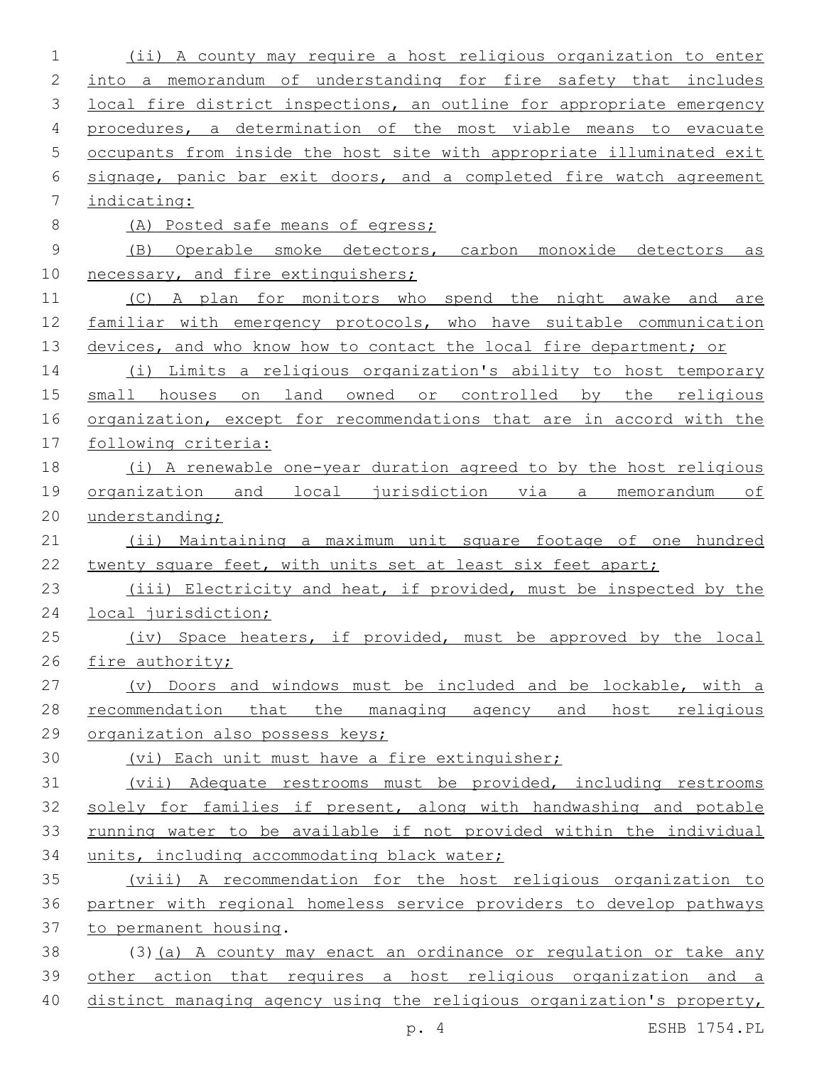| 1           | (ii) A county may require a host religious organization to enter          |
|-------------|---------------------------------------------------------------------------|
| 2           | into a memorandum of understanding for fire safety that includes          |
| 3           | local fire district inspections, an outline for appropriate emergency     |
| 4           | procedures, a determination of the most viable means to evacuate          |
| 5           | occupants from inside the host site with appropriate illuminated exit     |
| 6           | signage, panic bar exit doors, and a completed fire watch agreement       |
| 7           | indicating:                                                               |
| 8           | (A) Posted safe means of egress;                                          |
| $\mathsf 9$ | (B) Operable smoke detectors, carbon monoxide detectors<br>$\overline{a}$ |
| 10          | necessary, and fire extinguishers;                                        |
| 11          | (C) A plan for monitors who spend the night awake and are                 |
| 12          | familiar with emergency protocols, who have suitable communication        |
| 13          | devices, and who know how to contact the local fire department; or        |
| 14          | (i) Limits a religious organization's ability to host temporary           |
| 15          | small houses on land owned or controlled by the religious                 |
| 16          | organization, except for recommendations that are in accord with the      |
| 17          | following criteria:                                                       |
| 18          | (i) A renewable one-year duration agreed to by the host religious         |
| 19          | organization and local jurisdiction via a memorandum of                   |
| 20          | understanding;                                                            |
| 21          | (ii) Maintaining a maximum unit square footage of one hundred             |
| 22          | twenty square feet, with units set at least six feet apart;               |
| 23          | (iii) Electricity and heat, if provided, must be inspected by the         |
| 24          | local jurisdiction;                                                       |
| 25          | (iv) Space heaters, if provided, must be approved by the local            |
| 26          | fire authority;                                                           |
| 27          | (v) Doors and windows must be included and be lockable, with a            |
| 28          | recommendation that the managing agency and host religious                |
| 29          | organization also possess keys;                                           |
| 30          | (vi) Each unit must have a fire extinguisher;                             |
| 31          | (vii) Adequate restrooms must be provided, including restrooms            |
| 32          | solely for families if present, along with handwashing and potable        |
| 33          | running water to be available if not provided within the individual       |
| 34          | units, including accommodating black water;                               |
| 35          | (viii) A recommendation for the host religious organization to            |
| 36          | partner with regional homeless service providers to develop pathways      |
| 37          | to permanent housing.                                                     |
| 38          | (3) (a) A county may enact an ordinance or regulation or take any         |
| 39          | other action that requires a host religious organization and a            |
| 40          | distinct managing agency using the religious organization's property,     |

p. 4 ESHB 1754.PL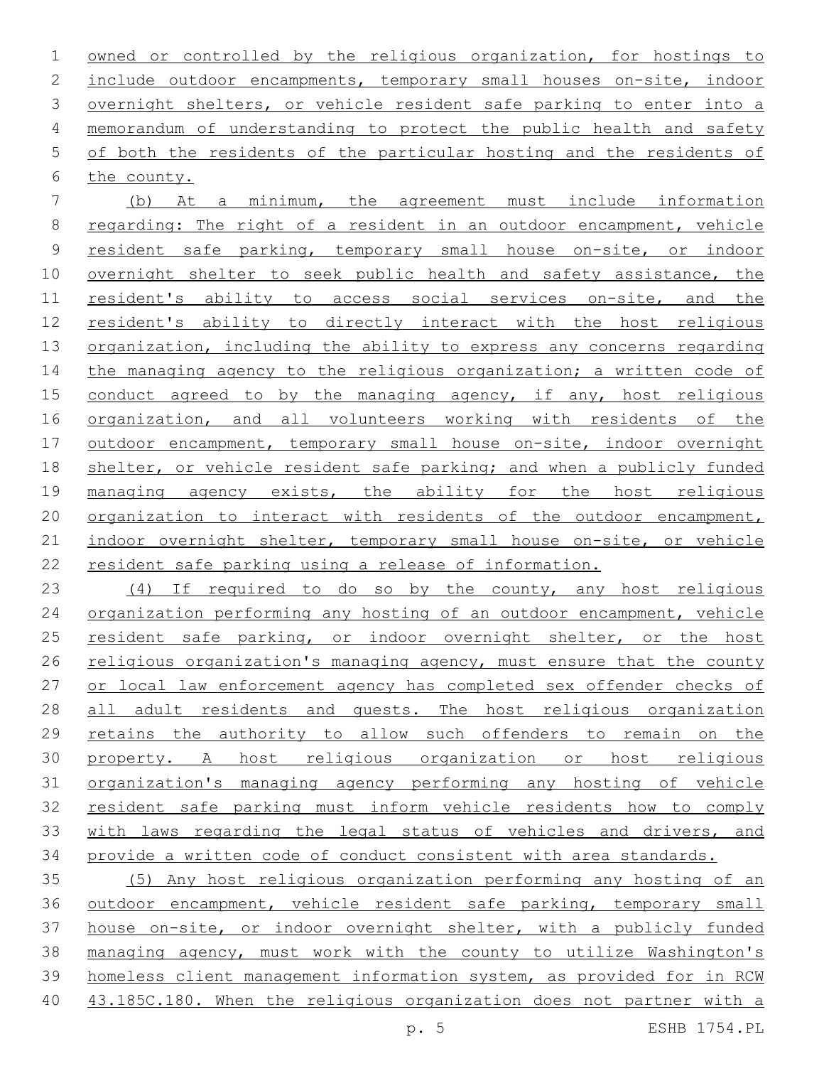owned or controlled by the religious organization, for hostings to include outdoor encampments, temporary small houses on-site, indoor overnight shelters, or vehicle resident safe parking to enter into a memorandum of understanding to protect the public health and safety of both the residents of the particular hosting and the residents of 6 the county.

 (b) At a minimum, the agreement must include information regarding: The right of a resident in an outdoor encampment, vehicle resident safe parking, temporary small house on-site, or indoor overnight shelter to seek public health and safety assistance, the resident's ability to access social services on-site, and the resident's ability to directly interact with the host religious 13 organization, including the ability to express any concerns regarding 14 the managing agency to the religious organization; a written code of 15 conduct agreed to by the managing agency, if any, host religious 16 organization, and all volunteers working with residents of the outdoor encampment, temporary small house on-site, indoor overnight 18 shelter, or vehicle resident safe parking; and when a publicly funded managing agency exists, the ability for the host religious organization to interact with residents of the outdoor encampment, 21 indoor overnight shelter, temporary small house on-site, or vehicle resident safe parking using a release of information.

 (4) If required to do so by the county, any host religious organization performing any hosting of an outdoor encampment, vehicle 25 resident safe parking, or indoor overnight shelter, or the host religious organization's managing agency, must ensure that the county or local law enforcement agency has completed sex offender checks of 28 all adult residents and quests. The host religious organization retains the authority to allow such offenders to remain on the property. A host religious organization or host religious organization's managing agency performing any hosting of vehicle resident safe parking must inform vehicle residents how to comply with laws regarding the legal status of vehicles and drivers, and provide a written code of conduct consistent with area standards.

 (5) Any host religious organization performing any hosting of an outdoor encampment, vehicle resident safe parking, temporary small house on-site, or indoor overnight shelter, with a publicly funded managing agency, must work with the county to utilize Washington's homeless client management information system, as provided for in RCW 40 43.185C.180. When the religious organization does not partner with a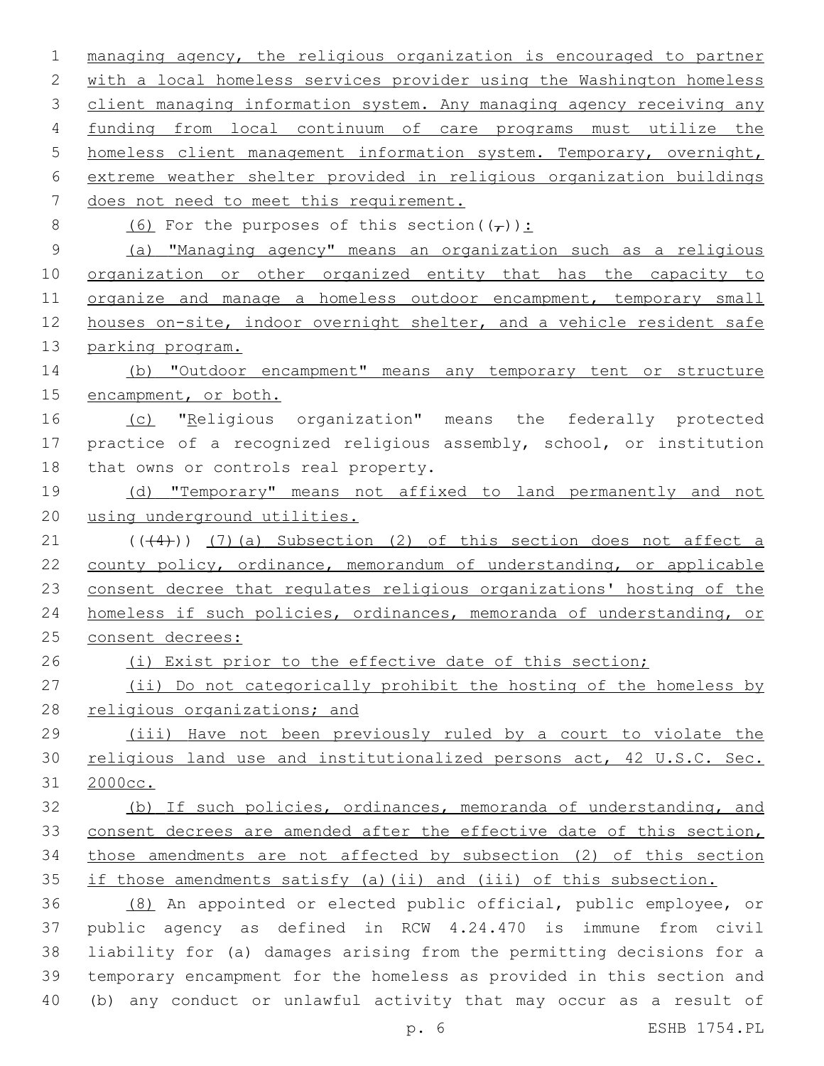| $\mathbf 1$    | managing agency, the religious organization is encouraged to partner  |
|----------------|-----------------------------------------------------------------------|
| 2              | with a local homeless services provider using the Washington homeless |
| 3              | client managing information system. Any managing agency receiving any |
| 4              | funding from local continuum of care programs must utilize the        |
| 5              | homeless client management information system. Temporary, overnight,  |
| $6\,$          | extreme weather shelter provided in religious organization buildings  |
| $\overline{7}$ | does not need to meet this requirement.                               |
| $8\,$          | (6) For the purposes of this section( $(\tau)$ ):                     |
| $\mathsf 9$    | (a) "Managing agency" means an organization such as a religious       |
| 10             | organization or other organized entity that has the capacity to       |
| 11             | organize and manage a homeless outdoor encampment, temporary small    |
| 12             | houses on-site, indoor overnight shelter, and a vehicle resident safe |
| 13             | parking program.                                                      |
| 14             | (b) "Outdoor encampment" means any temporary tent or structure        |
| 15             | encampment, or both.                                                  |
| 16             | (c) "Religious organization" means the federally protected            |
| 17             | practice of a recognized religious assembly, school, or institution   |
| 18             | that owns or controls real property.                                  |
| 19             | (d) "Temporary" means not affixed to land permanently and not         |
| 20             | using underground utilities.                                          |
| 21             | $((+4))$ (7) (a) Subsection (2) of this section does not affect a     |
| 22             | county policy, ordinance, memorandum of understanding, or applicable  |
| 23             | consent decree that regulates religious organizations' hosting of the |
| 24             | homeless if such policies, ordinances, memoranda of understanding, or |
| 25             | consent decrees:                                                      |
| 26             | (i) Exist prior to the effective date of this section;                |
| 27             | (ii) Do not categorically prohibit the hosting of the homeless by     |
| 28             | religious organizations; and                                          |
| 29             | (iii) Have not been previously ruled by a court to violate the        |
| 30             | religious land use and institutionalized persons act, 42 U.S.C. Sec.  |
| 31             | 2000cc.                                                               |
| 32             | (b) If such policies, ordinances, memoranda of understanding, and     |
| 33             | consent decrees are amended after the effective date of this section, |
| 34             | those amendments are not affected by subsection (2) of this section   |
| 35             | if those amendments satisfy (a) (ii) and (iii) of this subsection.    |
| 36             | (8) An appointed or elected public official, public employee, or      |
| 37             | public agency as defined in RCW 4.24.470 is immune from civil         |
| 38             | liability for (a) damages arising from the permitting decisions for a |
| 39             | temporary encampment for the homeless as provided in this section and |
| 40             | (b) any conduct or unlawful activity that may occur as a result of    |

p. 6 ESHB 1754.PL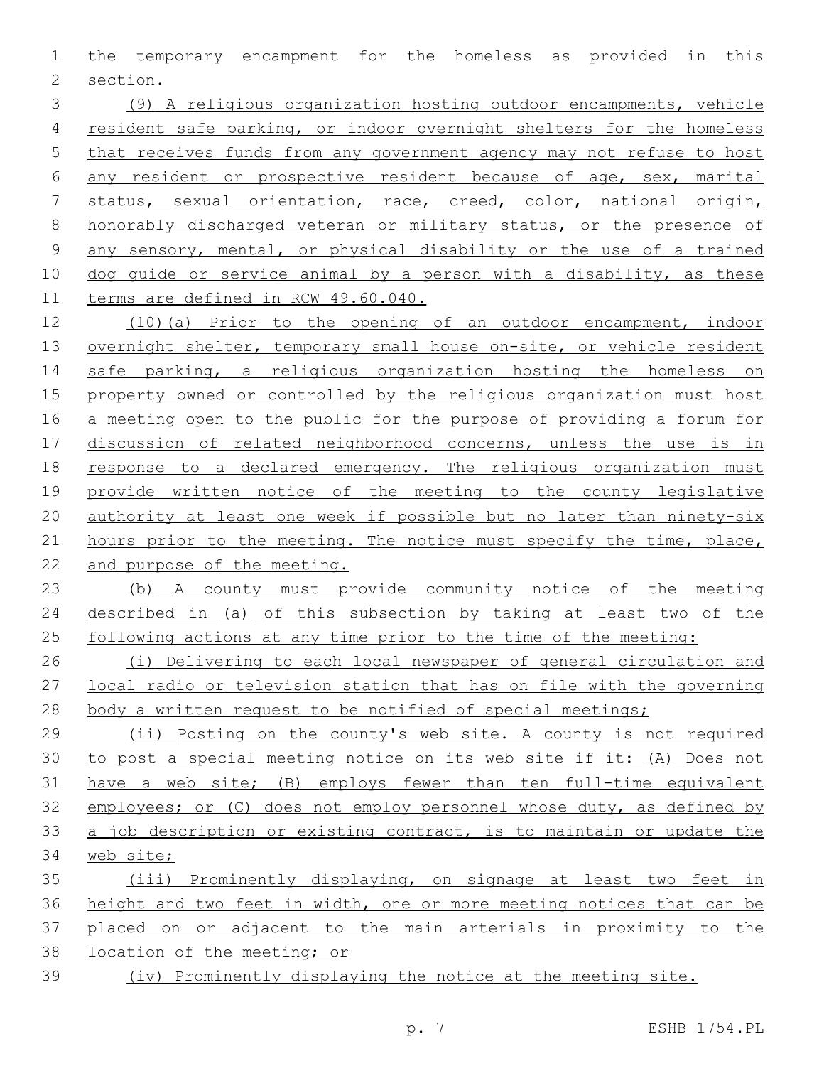the temporary encampment for the homeless as provided in this 2 section.

 (9) A religious organization hosting outdoor encampments, vehicle resident safe parking, or indoor overnight shelters for the homeless that receives funds from any government agency may not refuse to host any resident or prospective resident because of age, sex, marital status, sexual orientation, race, creed, color, national origin, honorably discharged veteran or military status, or the presence of any sensory, mental, or physical disability or the use of a trained dog guide or service animal by a person with a disability, as these terms are defined in RCW 49.60.040.

 (10)(a) Prior to the opening of an outdoor encampment, indoor 13 overnight shelter, temporary small house on-site, or vehicle resident 14 safe parking, a religious organization hosting the homeless on property owned or controlled by the religious organization must host a meeting open to the public for the purpose of providing a forum for discussion of related neighborhood concerns, unless the use is in response to a declared emergency. The religious organization must provide written notice of the meeting to the county legislative authority at least one week if possible but no later than ninety-six 21 hours prior to the meeting. The notice must specify the time, place, and purpose of the meeting.

 (b) A county must provide community notice of the meeting described in (a) of this subsection by taking at least two of the 25 following actions at any time prior to the time of the meeting:

 (i) Delivering to each local newspaper of general circulation and local radio or television station that has on file with the governing 28 body a written request to be notified of special meetings;

 (ii) Posting on the county's web site. A county is not required to post a special meeting notice on its web site if it: (A) Does not have a web site; (B) employs fewer than ten full-time equivalent employees; or (C) does not employ personnel whose duty, as defined by a job description or existing contract, is to maintain or update the web site;

 (iii) Prominently displaying, on signage at least two feet in height and two feet in width, one or more meeting notices that can be placed on or adjacent to the main arterials in proximity to the location of the meeting; or (iv) Prominently displaying the notice at the meeting site.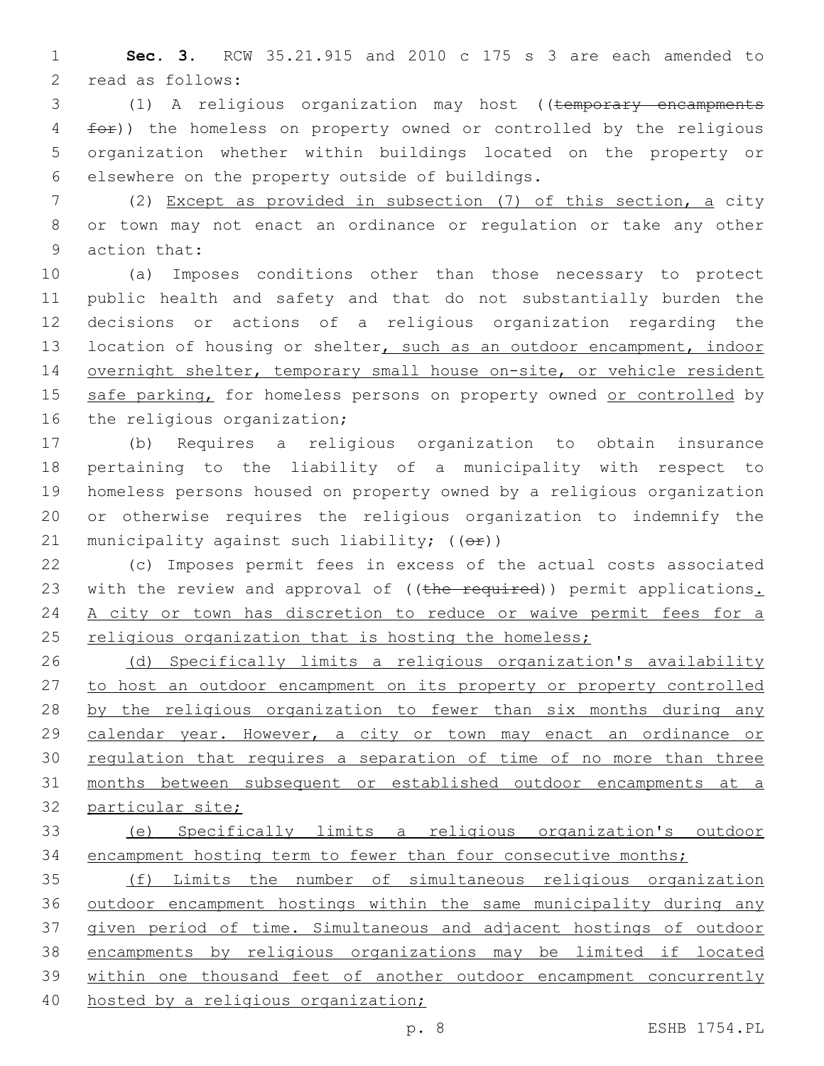1 **Sec. 3.** RCW 35.21.915 and 2010 c 175 s 3 are each amended to 2 read as follows:

3 (1) A religious organization may host ((temporary encampments 4 for)) the homeless on property owned or controlled by the religious 5 organization whether within buildings located on the property or 6 elsewhere on the property outside of buildings.

7 (2) Except as provided in subsection (7) of this section, a city 8 or town may not enact an ordinance or regulation or take any other 9 action that:

10 (a) Imposes conditions other than those necessary to protect 11 public health and safety and that do not substantially burden the 12 decisions or actions of a religious organization regarding the 13 location of housing or shelter, such as an outdoor encampment, indoor 14 overnight shelter, temporary small house on-site, or vehicle resident 15 safe parking, for homeless persons on property owned or controlled by 16 the religious organization;

 (b) Requires a religious organization to obtain insurance pertaining to the liability of a municipality with respect to homeless persons housed on property owned by a religious organization or otherwise requires the religious organization to indemnify the 21 municipality against such liability;  $((\theta \hat{r}))$ 

22 (c) Imposes permit fees in excess of the actual costs associated 23 with the review and approval of ((the required)) permit applications. 24 A city or town has discretion to reduce or waive permit fees for a 25 religious organization that is hosting the homeless;

26 (d) Specifically limits a religious organization's availability 27 to host an outdoor encampment on its property or property controlled 28 by the religious organization to fewer than six months during any 29 calendar year. However, a city or town may enact an ordinance or 30 regulation that requires a separation of time of no more than three 31 months between subsequent or established outdoor encampments at a 32 particular site;

33 (e) Specifically limits a religious organization's outdoor 34 encampment hosting term to fewer than four consecutive months;

 (f) Limits the number of simultaneous religious organization outdoor encampment hostings within the same municipality during any given period of time. Simultaneous and adjacent hostings of outdoor encampments by religious organizations may be limited if located within one thousand feet of another outdoor encampment concurrently hosted by a religious organization;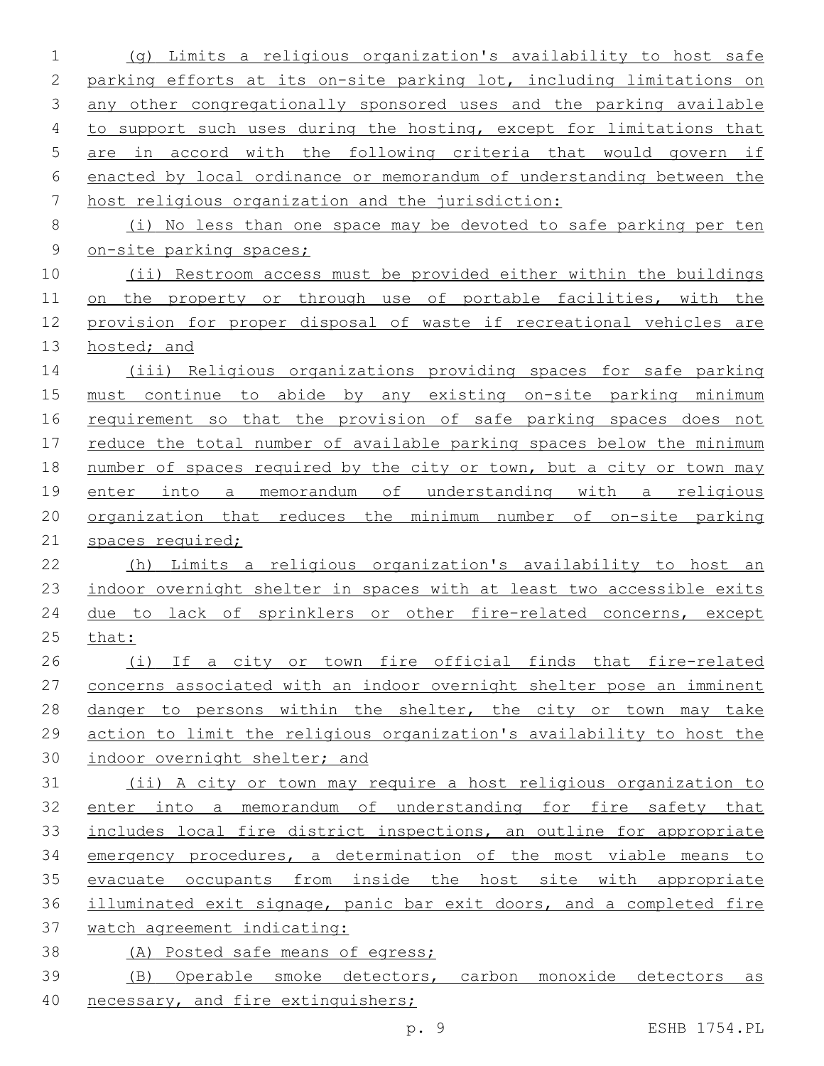(g) Limits a religious organization's availability to host safe parking efforts at its on-site parking lot, including limitations on any other congregationally sponsored uses and the parking available to support such uses during the hosting, except for limitations that are in accord with the following criteria that would govern if enacted by local ordinance or memorandum of understanding between the host religious organization and the jurisdiction: (i) No less than one space may be devoted to safe parking per ten on-site parking spaces; 10 (ii) Restroom access must be provided either within the buildings 11 on the property or through use of portable facilities, with the provision for proper disposal of waste if recreational vehicles are 13 hosted; and (iii) Religious organizations providing spaces for safe parking must continue to abide by any existing on-site parking minimum requirement so that the provision of safe parking spaces does not reduce the total number of available parking spaces below the minimum 18 number of spaces required by the city or town, but a city or town may enter into a memorandum of understanding with a religious organization that reduces the minimum number of on-site parking 21 spaces required; (h) Limits a religious organization's availability to host an indoor overnight shelter in spaces with at least two accessible exits due to lack of sprinklers or other fire-related concerns, except that: (i) If a city or town fire official finds that fire-related concerns associated with an indoor overnight shelter pose an imminent 28 danger to persons within the shelter, the city or town may take action to limit the religious organization's availability to host the indoor overnight shelter; and (ii) A city or town may require a host religious organization to enter into a memorandum of understanding for fire safety that includes local fire district inspections, an outline for appropriate emergency procedures, a determination of the most viable means to evacuate occupants from inside the host site with appropriate illuminated exit signage, panic bar exit doors, and a completed fire watch agreement indicating: (A) Posted safe means of egress; (B) Operable smoke detectors, carbon monoxide detectors as 40 necessary, and fire extinguishers;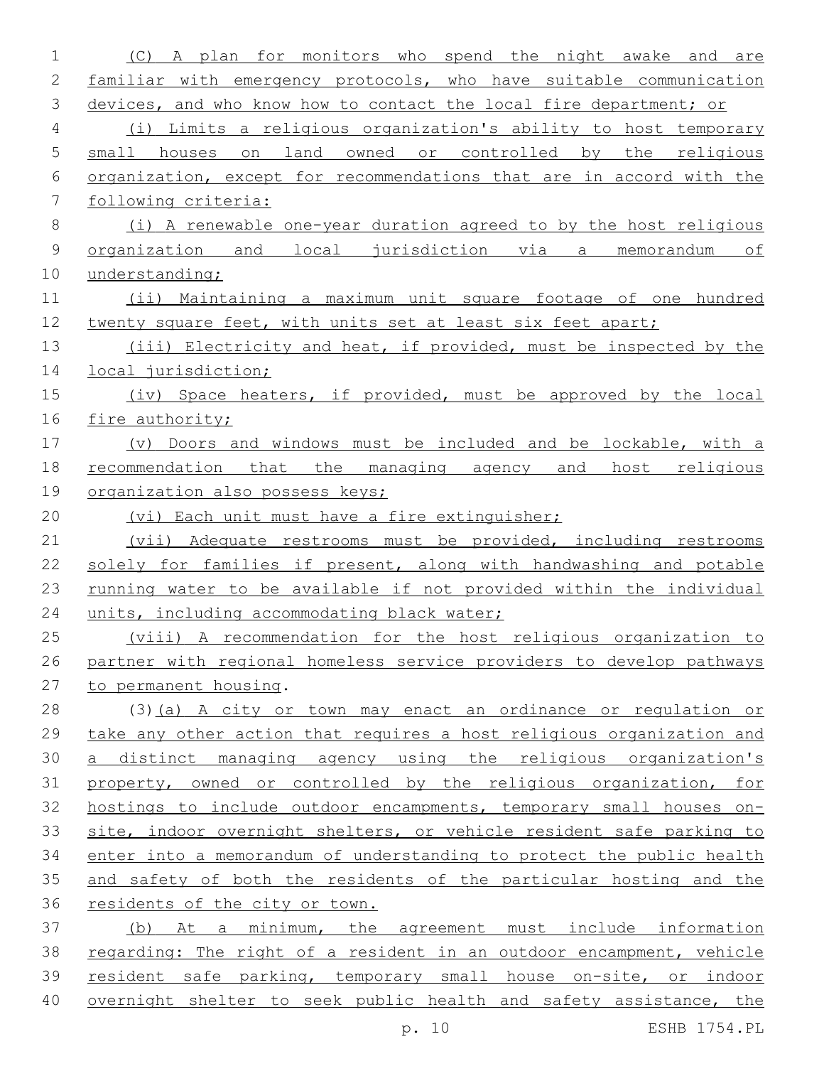| 1           | monitors who<br>A plan<br>for<br>spend the night awake<br>(C)<br>and<br>are |
|-------------|-----------------------------------------------------------------------------|
| 2           | familiar with emergency protocols, who have suitable communication          |
| 3           | devices, and who know how to contact the local fire department; or          |
| 4           | Limits a religious organization's ability to host temporary<br>(i)          |
| 5           | small houses on land<br>owned or controlled by the<br>religious             |
| 6           | organization, except for recommendations that are in accord with the        |
| 7           | following criteria:                                                         |
| 8           | (i) A renewable one-year duration agreed to by the host religious           |
| $\mathsf 9$ | organization and<br>local jurisdiction via a memorandum of                  |
| 10          | understanding;                                                              |
| 11          | (ii) Maintaining a maximum unit square footage of one hundred               |
| 12          | twenty square feet, with units set at least six feet apart;                 |
| 13          | (iii) Electricity and heat, if provided, must be inspected by the           |
| 14          | local jurisdiction;                                                         |
| 15          | (iv) Space heaters, if provided, must be approved by the local              |
| 16          | fire authority;                                                             |
| 17          | Doors and windows must be included and be lockable, with a<br>$(\nabla)$    |
| 18          | recommendation<br>that the managing agency and<br>religious<br>host         |
| 19          | organization also possess keys;                                             |
| 20          | (vi) Each unit must have a fire extinguisher;                               |
| 21          | (vii) Adequate restrooms must be provided, including restrooms              |
| 22          | solely for families if present, along with handwashing and potable          |
| 23          | running water to be available if not provided within the individual         |
| 24          | units, including accommodating black water;                                 |
| 25          | (viii) A recommendation for the host religious organization to              |
| 26          | partner with regional homeless service providers to develop pathways        |
| 27          | to permanent housing.                                                       |
| 28          | (3) (a) A city or town may enact an ordinance or regulation or              |
| 29          | take any other action that requires a host religious organization and       |
| 30          | a distinct managing agency using the religious organization's               |
| 31          | property, owned or controlled by the religious organization, for            |
| 32          | hostings to include outdoor encampments, temporary small houses on-         |
| 33          | site, indoor overnight shelters, or vehicle resident safe parking to        |
| 34          | enter into a memorandum of understanding to protect the public health       |
| 35          | and safety of both the residents of the particular hosting and the          |
| 36          | residents of the city or town.                                              |
| 37          | (b) At a minimum, the agreement must include information                    |
| 38          | regarding: The right of a resident in an outdoor encampment, vehicle        |
| 39          | resident safe parking, temporary small house on-site, or indoor             |
| 40          | overnight shelter to seek public health and safety assistance, the          |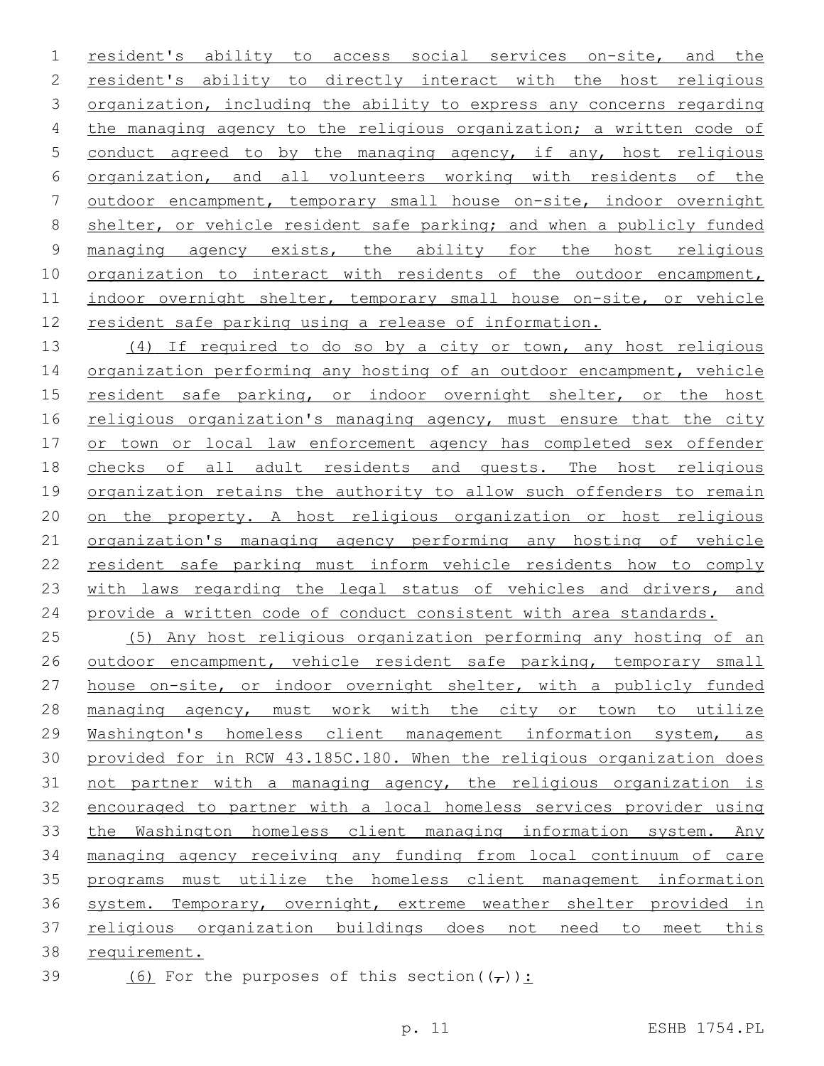resident's ability to access social services on-site, and the resident's ability to directly interact with the host religious organization, including the ability to express any concerns regarding 4 the managing agency to the religious organization; a written code of conduct agreed to by the managing agency, if any, host religious organization, and all volunteers working with residents of the outdoor encampment, temporary small house on-site, indoor overnight shelter, or vehicle resident safe parking; and when a publicly funded managing agency exists, the ability for the host religious organization to interact with residents of the outdoor encampment, indoor overnight shelter, temporary small house on-site, or vehicle resident safe parking using a release of information.

 (4) If required to do so by a city or town, any host religious 14 organization performing any hosting of an outdoor encampment, vehicle resident safe parking, or indoor overnight shelter, or the host 16 religious organization's managing agency, must ensure that the city or town or local law enforcement agency has completed sex offender checks of all adult residents and guests. The host religious organization retains the authority to allow such offenders to remain on the property. A host religious organization or host religious organization's managing agency performing any hosting of vehicle resident safe parking must inform vehicle residents how to comply 23 with laws regarding the legal status of vehicles and drivers, and 24 provide a written code of conduct consistent with area standards.

 (5) Any host religious organization performing any hosting of an outdoor encampment, vehicle resident safe parking, temporary small house on-site, or indoor overnight shelter, with a publicly funded 28 managing agency, must work with the city or town to utilize Washington's homeless client management information system, as provided for in RCW 43.185C.180. When the religious organization does not partner with a managing agency, the religious organization is encouraged to partner with a local homeless services provider using 33 the Washington homeless client managing information system. Any managing agency receiving any funding from local continuum of care programs must utilize the homeless client management information system. Temporary, overnight, extreme weather shelter provided in religious organization buildings does not need to meet this requirement.

39 (6) For the purposes of this section( $(\tau)$ ):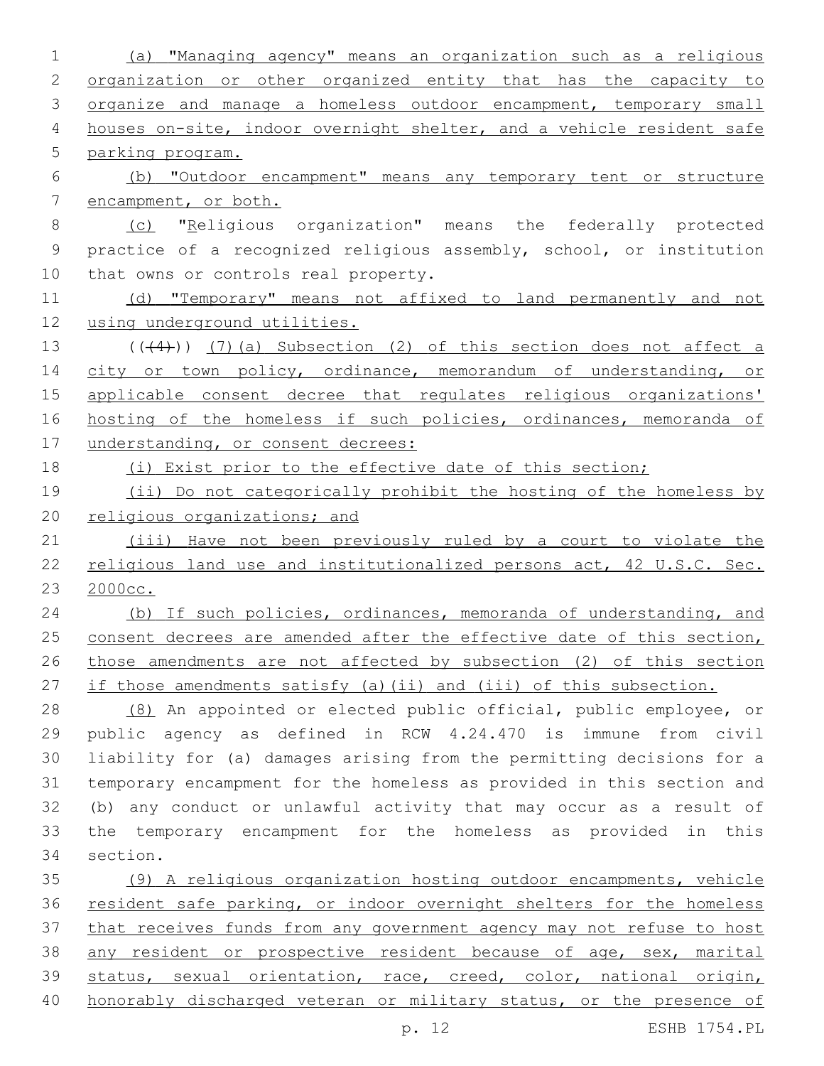(a) "Managing agency" means an organization such as a religious 2 organization or other organized entity that has the capacity to 3 organize and manage a homeless outdoor encampment, temporary small 4 houses on-site, indoor overnight shelter, and a vehicle resident safe parking program. (b) "Outdoor encampment" means any temporary tent or structure encampment, or both. (c) "Religious organization" means the federally protected practice of a recognized religious assembly, school, or institution 10 that owns or controls real property. 11 (d) "Temporary" means not affixed to land permanently and not using underground utilities.  $((+4))$   $(7)$  (a) Subsection (2) of this section does not affect a 14 city or town policy, ordinance, memorandum of understanding, or applicable consent decree that regulates religious organizations' hosting of the homeless if such policies, ordinances, memoranda of 17 understanding, or consent decrees: (i) Exist prior to the effective date of this section; 19 (ii) Do not categorically prohibit the hosting of the homeless by religious organizations; and (iii) Have not been previously ruled by a court to violate the religious land use and institutionalized persons act, 42 U.S.C. Sec. 2000cc. 24 (b) If such policies, ordinances, memoranda of understanding, and 25 consent decrees are amended after the effective date of this section, those amendments are not affected by subsection (2) of this section if those amendments satisfy (a)(ii) and (iii) of this subsection. (8) An appointed or elected public official, public employee, or public agency as defined in RCW 4.24.470 is immune from civil liability for (a) damages arising from the permitting decisions for a temporary encampment for the homeless as provided in this section and (b) any conduct or unlawful activity that may occur as a result of the temporary encampment for the homeless as provided in this 34 section. (9) A religious organization hosting outdoor encampments, vehicle resident safe parking, or indoor overnight shelters for the homeless that receives funds from any government agency may not refuse to host any resident or prospective resident because of age, sex, marital status, sexual orientation, race, creed, color, national origin, honorably discharged veteran or military status, or the presence of

p. 12 ESHB 1754.PL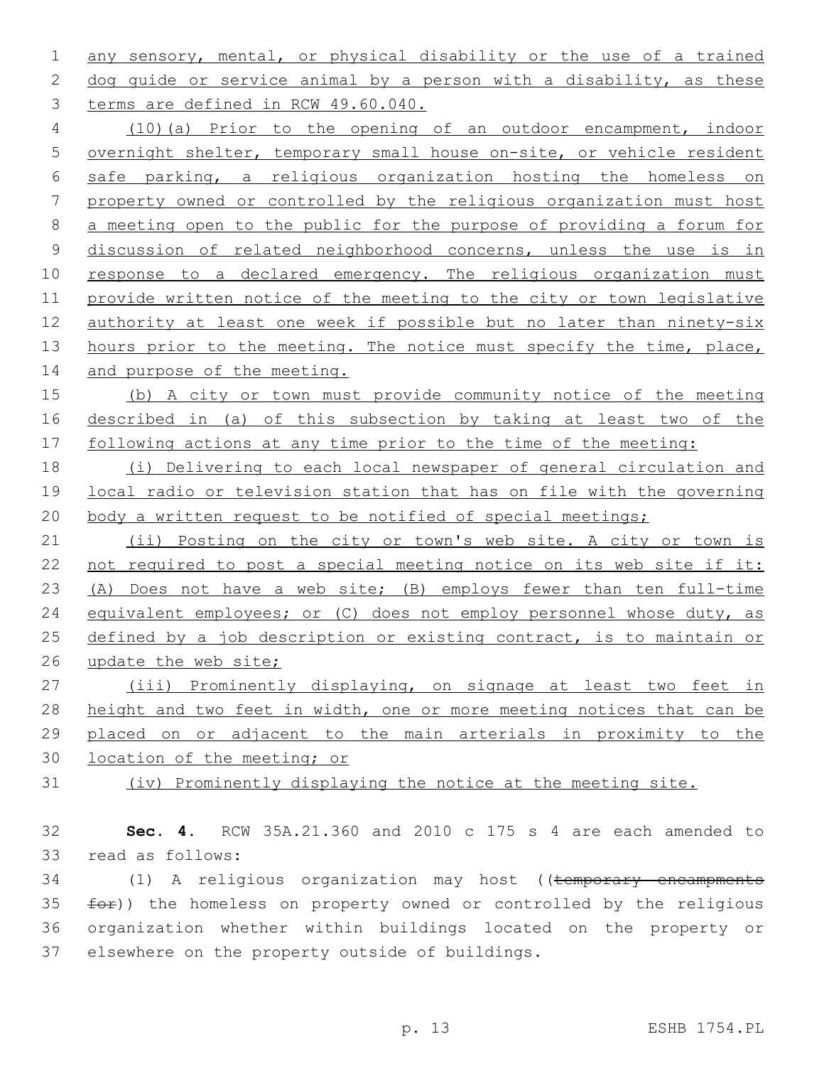1 any sensory, mental, or physical disability or the use of a trained 2 dog guide or service animal by a person with a disability, as these 3 terms are defined in RCW 49.60.040.

 (10)(a) Prior to the opening of an outdoor encampment, indoor overnight shelter, temporary small house on-site, or vehicle resident safe parking, a religious organization hosting the homeless on property owned or controlled by the religious organization must host a meeting open to the public for the purpose of providing a forum for discussion of related neighborhood concerns, unless the use is in 10 response to a declared emergency. The religious organization must provide written notice of the meeting to the city or town legislative authority at least one week if possible but no later than ninety-six 13 hours prior to the meeting. The notice must specify the time, place, 14 and purpose of the meeting.

15 (b) A city or town must provide community notice of the meeting 16 described in (a) of this subsection by taking at least two of the 17 following actions at any time prior to the time of the meeting:

18 (i) Delivering to each local newspaper of general circulation and 19 local radio or television station that has on file with the governing 20 body a written request to be notified of special meetings;

21 (ii) Posting on the city or town's web site. A city or town is 22 not required to post a special meeting notice on its web site if it: 23 (A) Does not have a web site; (B) employs fewer than ten full-time 24 equivalent employees; or (C) does not employ personnel whose duty, as 25 defined by a job description or existing contract, is to maintain or 26 update the web site;

 (iii) Prominently displaying, on signage at least two feet in 28 height and two feet in width, one or more meeting notices that can be placed on or adjacent to the main arterials in proximity to the location of the meeting; or

31 (iv) Prominently displaying the notice at the meeting site.

32 **Sec. 4.** RCW 35A.21.360 and 2010 c 175 s 4 are each amended to 33 read as follows:

34 (1) A religious organization may host ((temporary encampments  $35$   $f$ o $f$ ) the homeless on property owned or controlled by the religious 36 organization whether within buildings located on the property or 37 elsewhere on the property outside of buildings.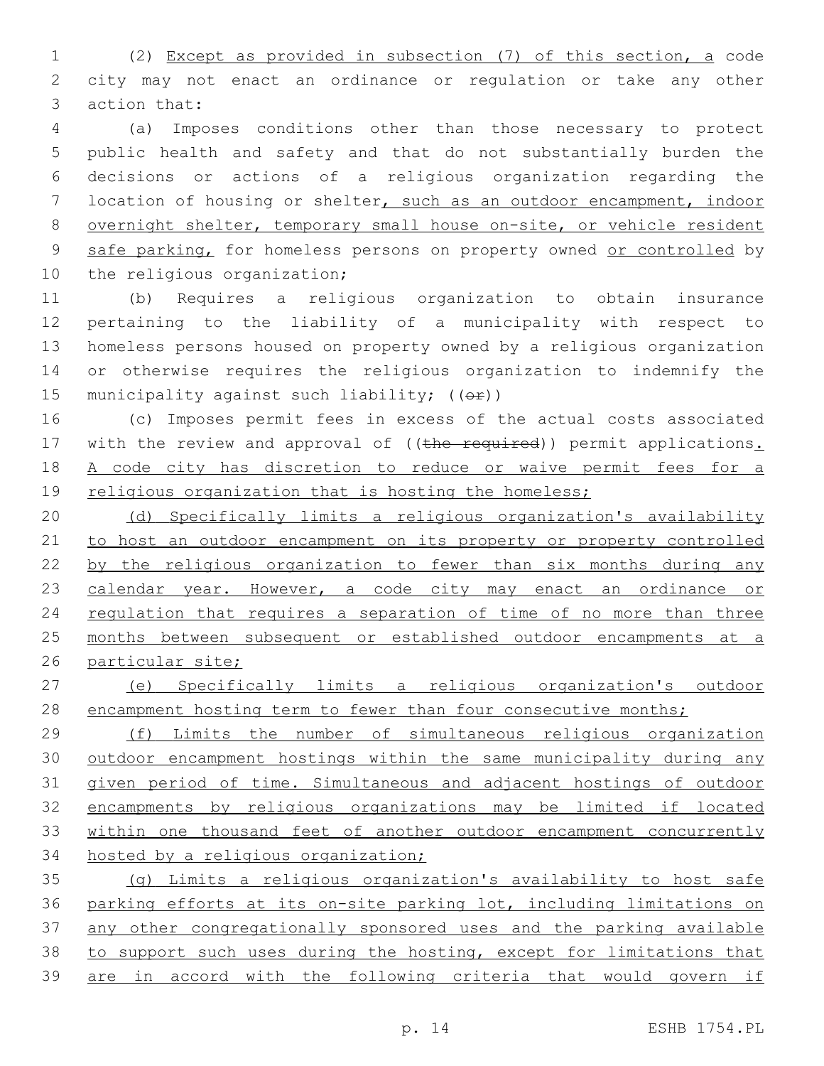(2) Except as provided in subsection (7) of this section, a code city may not enact an ordinance or regulation or take any other 3 action that:

 (a) Imposes conditions other than those necessary to protect public health and safety and that do not substantially burden the decisions or actions of a religious organization regarding the location of housing or shelter, such as an outdoor encampment, indoor overnight shelter, temporary small house on-site, or vehicle resident 9 safe parking, for homeless persons on property owned or controlled by 10 the religious organization;

 (b) Requires a religious organization to obtain insurance pertaining to the liability of a municipality with respect to homeless persons housed on property owned by a religious organization or otherwise requires the religious organization to indemnify the 15 municipality against such liability;  $((\theta \cdot \hat{r}))$ 

 (c) Imposes permit fees in excess of the actual costs associated 17 with the review and approval of ((the required)) permit applications. A code city has discretion to reduce or waive permit fees for a 19 religious organization that is hosting the homeless;

 (d) Specifically limits a religious organization's availability to host an outdoor encampment on its property or property controlled by the religious organization to fewer than six months during any 23 calendar year. However, a code city may enact an ordinance or 24 regulation that requires a separation of time of no more than three months between subsequent or established outdoor encampments at a particular site;

 (e) Specifically limits a religious organization's outdoor 28 encampment hosting term to fewer than four consecutive months;

 (f) Limits the number of simultaneous religious organization outdoor encampment hostings within the same municipality during any given period of time. Simultaneous and adjacent hostings of outdoor encampments by religious organizations may be limited if located within one thousand feet of another outdoor encampment concurrently hosted by a religious organization;

 (g) Limits a religious organization's availability to host safe parking efforts at its on-site parking lot, including limitations on any other congregationally sponsored uses and the parking available to support such uses during the hosting, except for limitations that are in accord with the following criteria that would govern if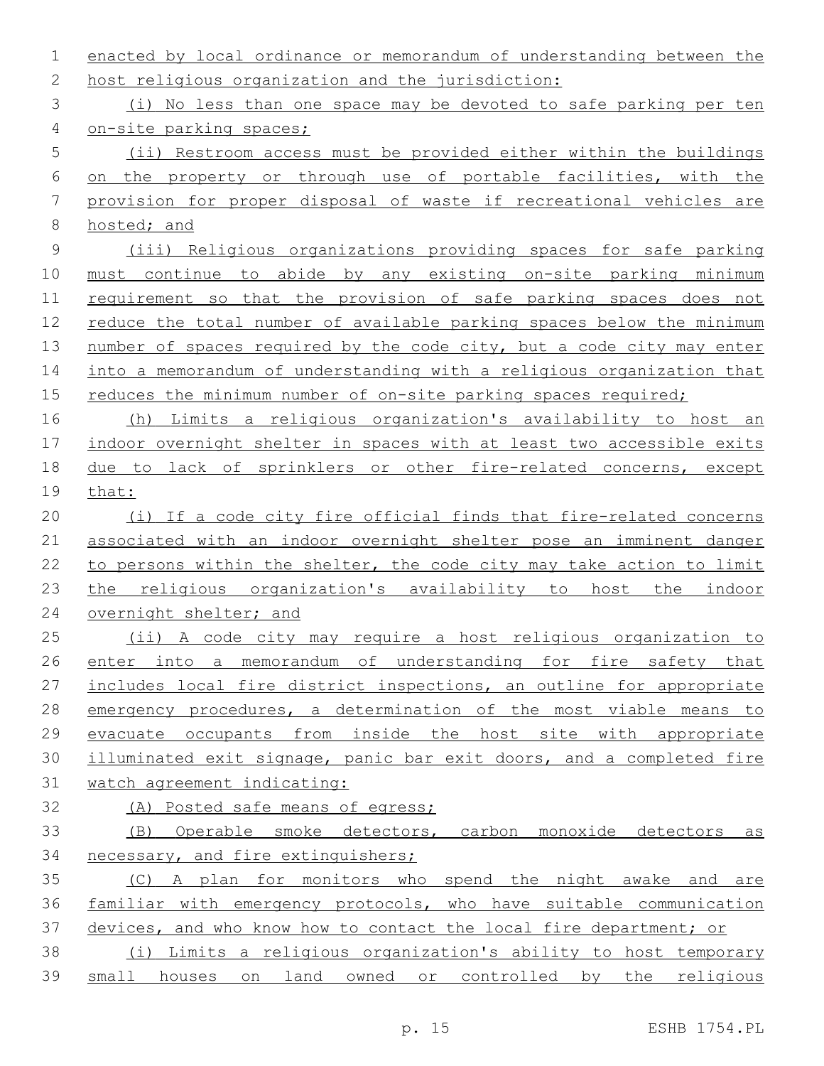enacted by local ordinance or memorandum of understanding between the 2 host religious organization and the jurisdiction: (i) No less than one space may be devoted to safe parking per ten on-site parking spaces; (ii) Restroom access must be provided either within the buildings on the property or through use of portable facilities, with the provision for proper disposal of waste if recreational vehicles are hosted; and (iii) Religious organizations providing spaces for safe parking must continue to abide by any existing on-site parking minimum requirement so that the provision of safe parking spaces does not reduce the total number of available parking spaces below the minimum 13 number of spaces required by the code city, but a code city may enter into a memorandum of understanding with a religious organization that 15 reduces the minimum number of on-site parking spaces required; (h) Limits a religious organization's availability to host an indoor overnight shelter in spaces with at least two accessible exits due to lack of sprinklers or other fire-related concerns, except that: (i) If a code city fire official finds that fire-related concerns associated with an indoor overnight shelter pose an imminent danger 22 to persons within the shelter, the code city may take action to limit the religious organization's availability to host the indoor 24 overnight shelter; and (ii) A code city may require a host religious organization to enter into a memorandum of understanding for fire safety that includes local fire district inspections, an outline for appropriate emergency procedures, a determination of the most viable means to evacuate occupants from inside the host site with appropriate illuminated exit signage, panic bar exit doors, and a completed fire watch agreement indicating: (A) Posted safe means of egress; (B) Operable smoke detectors, carbon monoxide detectors as necessary, and fire extinguishers; (C) A plan for monitors who spend the night awake and are familiar with emergency protocols, who have suitable communication devices, and who know how to contact the local fire department; or (i) Limits a religious organization's ability to host temporary small houses on land owned or controlled by the religious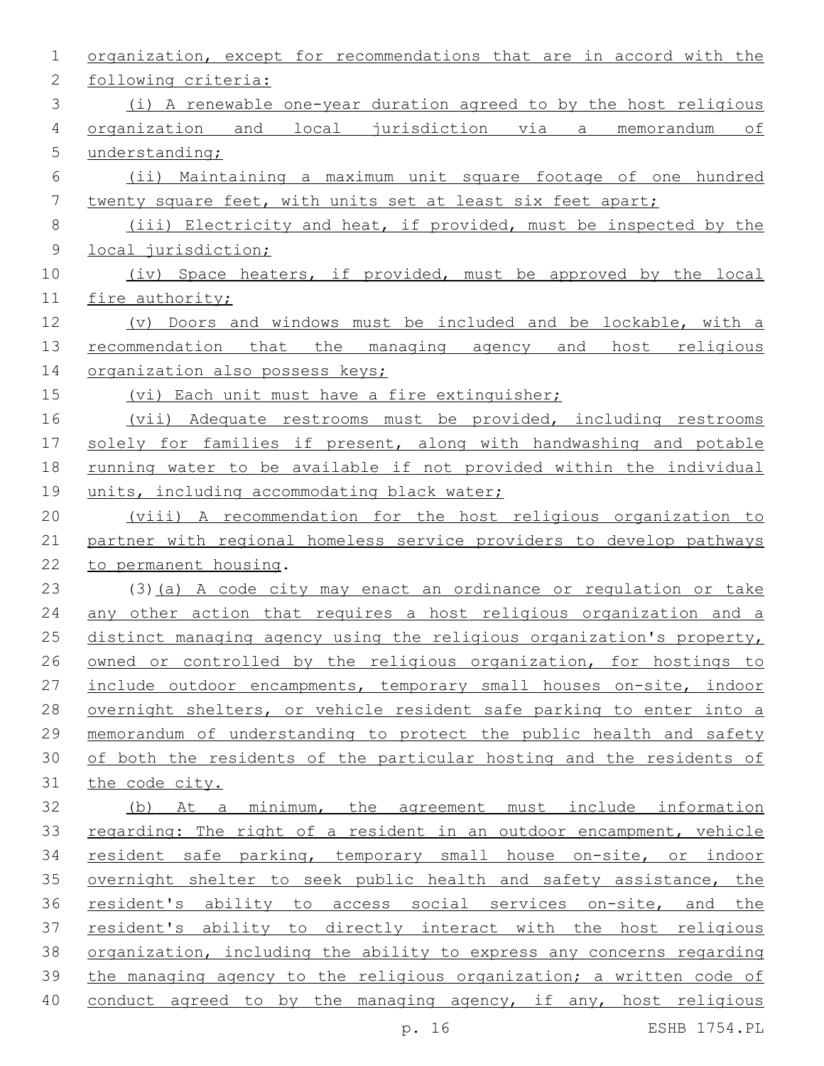| 1           | organization, except for recommendations that are in accord with the  |
|-------------|-----------------------------------------------------------------------|
| 2           | following criteria:                                                   |
| 3           | (i) A renewable one-year duration agreed to by the host religious     |
| 4           | organization and local jurisdiction via a memorandum of               |
| 5           | understanding;                                                        |
| 6           | (ii) Maintaining a maximum unit square footage of one hundred         |
| 7           | twenty square feet, with units set at least six feet apart;           |
| 8           | (iii) Electricity and heat, if provided, must be inspected by the     |
| $\mathsf 9$ | local jurisdiction;                                                   |
| 10          | (iv) Space heaters, if provided, must be approved by the local        |
| 11          | fire authority;                                                       |
| 12          | (v) Doors and windows must be included and be lockable, with a        |
| 13          | recommendation that the managing agency and host religious            |
| 14          | organization also possess keys;                                       |
| 15          | (vi) Each unit must have a fire extinguisher;                         |
| 16          | (vii) Adequate restrooms must be provided, including restrooms        |
| 17          | solely for families if present, along with handwashing and potable    |
| 18          | running water to be available if not provided within the individual   |
| 19          | units, including accommodating black water;                           |
| 20          | (viii) A recommendation for the host religious organization to        |
| 21          | partner with regional homeless service providers to develop pathways  |
| 22          | to permanent housing.                                                 |
| 23          | (3) (a) A code city may enact an ordinance or regulation or take      |
| 24          | any other action that requires a host religious organization and a    |
| 25          | distinct managing agency using the religious organization's property, |
| 26          | owned or controlled by the religious organization, for hostings to    |
| 27          | include outdoor encampments, temporary small houses on-site, indoor   |
| 28          | overnight shelters, or vehicle resident safe parking to enter into a  |
| 29          | memorandum of understanding to protect the public health and safety   |
| 30          | of both the residents of the particular hosting and the residents of  |
| 31          | the code city.                                                        |
| 32          | (b) At a minimum, the agreement must include information              |
| 33          | regarding: The right of a resident in an outdoor encampment, vehicle  |
| 34          | resident safe parking, temporary small house on-site, or indoor       |
| 35          | overnight shelter to seek public health and safety assistance, the    |
| 36          | resident's ability to access social services on-site, and the         |
| 37          | resident's ability to directly interact with the host religious       |
| 38          | organization, including the ability to express any concerns regarding |
| 39          | the managing agency to the religious organization; a written code of  |
| 40          | conduct agreed to by the managing agency, if any, host religious      |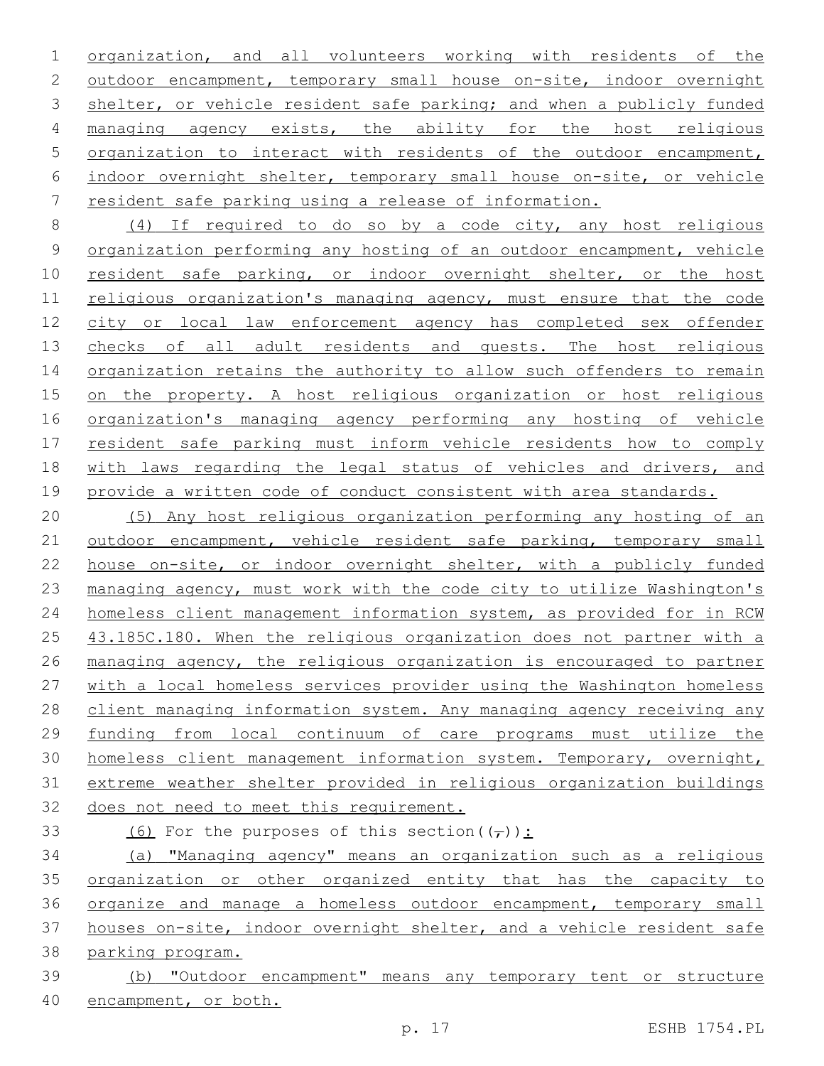organization, and all volunteers working with residents of the outdoor encampment, temporary small house on-site, indoor overnight 3 shelter, or vehicle resident safe parking; and when a publicly funded 4 managing agency exists, the ability for the host religious organization to interact with residents of the outdoor encampment, indoor overnight shelter, temporary small house on-site, or vehicle resident safe parking using a release of information.

 (4) If required to do so by a code city, any host religious 9 organization performing any hosting of an outdoor encampment, vehicle 10 resident safe parking, or indoor overnight shelter, or the host religious organization's managing agency, must ensure that the code city or local law enforcement agency has completed sex offender 13 checks of all adult residents and quests. The host religious 14 organization retains the authority to allow such offenders to remain on the property. A host religious organization or host religious organization's managing agency performing any hosting of vehicle resident safe parking must inform vehicle residents how to comply 18 with laws regarding the legal status of vehicles and drivers, and 19 provide a written code of conduct consistent with area standards.

 (5) Any host religious organization performing any hosting of an 21 outdoor encampment, vehicle resident safe parking, temporary small house on-site, or indoor overnight shelter, with a publicly funded managing agency, must work with the code city to utilize Washington's homeless client management information system, as provided for in RCW 25 43.185C.180. When the religious organization does not partner with a managing agency, the religious organization is encouraged to partner with a local homeless services provider using the Washington homeless client managing information system. Any managing agency receiving any funding from local continuum of care programs must utilize the homeless client management information system. Temporary, overnight, extreme weather shelter provided in religious organization buildings does not need to meet this requirement.

33 (6) For the purposes of this section( $(\tau)$ ):

 (a) "Managing agency" means an organization such as a religious organization or other organized entity that has the capacity to organize and manage a homeless outdoor encampment, temporary small houses on-site, indoor overnight shelter, and a vehicle resident safe parking program.

 (b) "Outdoor encampment" means any temporary tent or structure encampment, or both.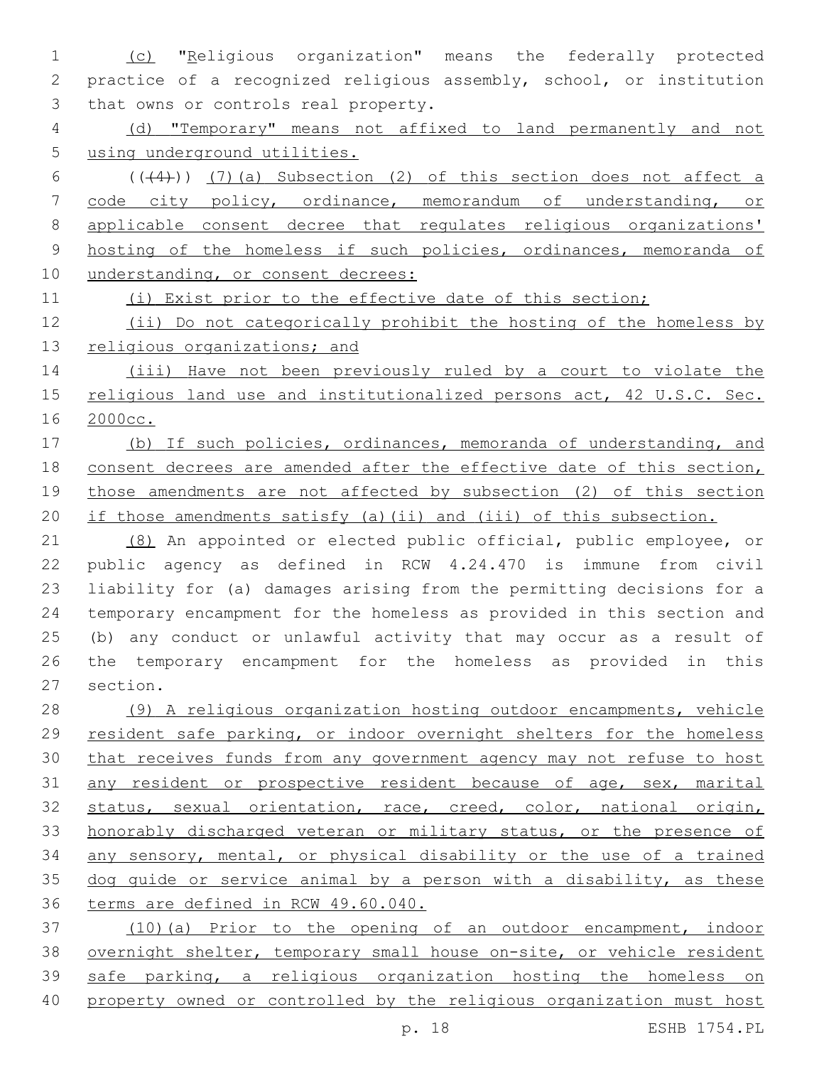(c) "Religious organization" means the federally protected practice of a recognized religious assembly, school, or institution 3 that owns or controls real property.

 (d) "Temporary" means not affixed to land permanently and not using underground utilities.

 $(1+4)$ ) (7)(a) Subsection (2) of this section does not affect a code city policy, ordinance, memorandum of understanding, or applicable consent decree that regulates religious organizations' hosting of the homeless if such policies, ordinances, memoranda of 10 understanding, or consent decrees:

(i) Exist prior to the effective date of this section;

 (ii) Do not categorically prohibit the hosting of the homeless by 13 religious organizations; and

 (iii) Have not been previously ruled by a court to violate the religious land use and institutionalized persons act, 42 U.S.C. Sec. 2000cc.

 (b) If such policies, ordinances, memoranda of understanding, and consent decrees are amended after the effective date of this section, those amendments are not affected by subsection (2) of this section if those amendments satisfy (a)(ii) and (iii) of this subsection.

 (8) An appointed or elected public official, public employee, or public agency as defined in RCW 4.24.470 is immune from civil liability for (a) damages arising from the permitting decisions for a temporary encampment for the homeless as provided in this section and (b) any conduct or unlawful activity that may occur as a result of the temporary encampment for the homeless as provided in this 27 section.

 (9) A religious organization hosting outdoor encampments, vehicle resident safe parking, or indoor overnight shelters for the homeless that receives funds from any government agency may not refuse to host 31 any resident or prospective resident because of age, sex, marital 32 status, sexual orientation, race, creed, color, national origin, honorably discharged veteran or military status, or the presence of any sensory, mental, or physical disability or the use of a trained 35 dog quide or service animal by a person with a disability, as these terms are defined in RCW 49.60.040.

 (10)(a) Prior to the opening of an outdoor encampment, indoor overnight shelter, temporary small house on-site, or vehicle resident safe parking, a religious organization hosting the homeless on property owned or controlled by the religious organization must host